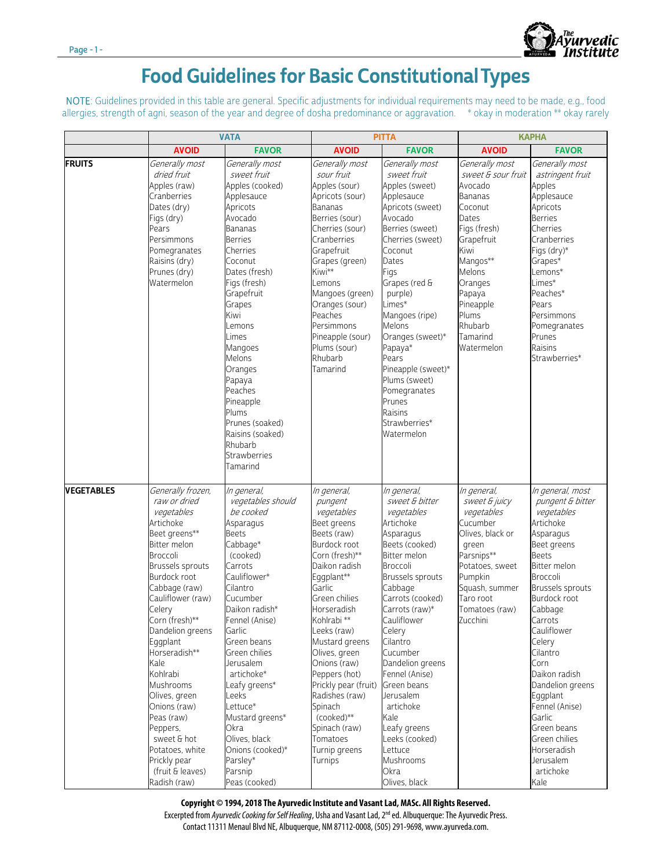

## Food Guidelines for Basic Constitutional Types

NOTE: Guidelines provided in this table are general. Specific adjustments for individual requirements may need to be made, e.g., food allergies, strength of agni, season of the year and degree of dosha predominance or aggravation. \* okay in moderation \*\* okay rarely

|                   | <b>VATA</b>                                                                                                                                                                                                                                                                                                                                                                                                                                        |                                                                                                                                                                                                                                                                                                                                                                                                       | <b>PITTA</b>                                                                                                                                                                                                                                                                                                                                                                                                           |                                                                                                                                                                                                                                                                                                                                                                                                                     | <b>KAPHA</b>                                                                                                                                                                                                               |                                                                                                                                                                                                                                                                                                                                                                                                              |
|-------------------|----------------------------------------------------------------------------------------------------------------------------------------------------------------------------------------------------------------------------------------------------------------------------------------------------------------------------------------------------------------------------------------------------------------------------------------------------|-------------------------------------------------------------------------------------------------------------------------------------------------------------------------------------------------------------------------------------------------------------------------------------------------------------------------------------------------------------------------------------------------------|------------------------------------------------------------------------------------------------------------------------------------------------------------------------------------------------------------------------------------------------------------------------------------------------------------------------------------------------------------------------------------------------------------------------|---------------------------------------------------------------------------------------------------------------------------------------------------------------------------------------------------------------------------------------------------------------------------------------------------------------------------------------------------------------------------------------------------------------------|----------------------------------------------------------------------------------------------------------------------------------------------------------------------------------------------------------------------------|--------------------------------------------------------------------------------------------------------------------------------------------------------------------------------------------------------------------------------------------------------------------------------------------------------------------------------------------------------------------------------------------------------------|
|                   | <b>AVOID</b>                                                                                                                                                                                                                                                                                                                                                                                                                                       | <b>FAVOR</b>                                                                                                                                                                                                                                                                                                                                                                                          | <b>AVOID</b>                                                                                                                                                                                                                                                                                                                                                                                                           | <b>FAVOR</b>                                                                                                                                                                                                                                                                                                                                                                                                        | <b>AVOID</b>                                                                                                                                                                                                               | <b>FAVOR</b>                                                                                                                                                                                                                                                                                                                                                                                                 |
| <b>FRUITS</b>     | Generally most<br>dried fruit<br>Apples (raw)<br>Cranberries<br>Dates (dry)<br>Figs (dry)<br>Pears<br>Persimmons<br>Pomegranates<br>Raisins (dry)<br>Prunes (dry)<br>Watermelon                                                                                                                                                                                                                                                                    | Generally most<br>sweet fruit<br>Apples (cooked)<br>Applesauce<br>Apricots<br>Avocado<br>Bananas<br>Berries<br>Cherries<br>Coconut<br>Dates (fresh)<br>Figs (fresh)<br>Grapefruit<br>Grapes<br>Kiwi<br>emons<br>Limes<br>Mangoes<br>Melons<br>Oranges<br>Papaya<br>Peaches<br>Pineapple<br>Plums<br>Prunes (soaked)<br>Raisins (soaked)<br>Rhubarb<br>Strawberries<br>Tamarind                        | Generally most<br>sour fruit<br>Apples (sour)<br>Apricots (sour)<br>Bananas<br>Berries (sour)<br>Cherries (sour)<br>Cranberries<br>Grapefruit<br>Grapes (green)<br>Kiwi**<br>emons<br>Mangoes (green)<br>Oranges (sour)<br>Peaches<br>Persimmons<br>Pineapple (sour)<br>Plums (sour)<br>Rhubarb<br>Tamarind                                                                                                            | Generally most<br>sweet fruit<br>Apples (sweet)<br>Applesauce<br>Apricots (sweet)<br>Avocado<br>Berries (sweet)<br>Cherries (sweet)<br>Coconut<br>Dates<br>Figs<br>Grapes (red &<br>purple)<br>Limes*<br>Mangoes (ripe)<br>Melons<br>Oranges (sweet)*<br>Papaya*<br>Pears<br>Pineapple (sweet)*<br>Plums (sweet)<br>Pomegranates<br>Prunes<br>Raisins<br>Strawberries*<br>Watermelon                                | Generally most<br>sweet & sour fruit<br>Avocado<br>Bananas<br>Coconut<br>Dates<br>Figs (fresh)<br>Grapefruit<br>Kiwi<br>Mangos**<br>Melons<br>Oranges<br>Papaya<br>Pineapple<br>Plums<br>Rhubarb<br>Tamarind<br>Watermelon | Generally most<br>astringent fruit<br>Apples<br>Applesauce<br>Apricots<br><b>Berries</b><br>Cherries<br>Cranberries<br>Figs (dry)*<br>Grapes*<br>Lemons*<br>Limes*<br>Peaches*<br>Pears<br>Persimmons<br>Pomegranates<br>Prunes<br>Raisins<br>Strawberries*                                                                                                                                                  |
| <b>VEGETABLES</b> | Generally frozen,<br>raw or dried<br>vegetables<br>Artichoke<br>Beet greens**<br>Bitter melon<br>Broccoli<br>Brussels sprouts<br>Burdock root<br>Cabbage (raw)<br>Cauliflower (raw)<br>Celery<br>Corn (fresh)**<br>Dandelion greens<br>Eggplant<br>Horseradish**<br>Kale<br>Kohlrabi<br>Mushrooms<br>Olives, green<br>Onions (raw)<br>Peas (raw)<br>Peppers,<br>sweet & hot<br>Potatoes, white<br>Prickly pear<br>(fruit & leaves)<br>Radish (raw) | In general,<br>vegetables should<br>be cooked<br>Asparagus<br>Beets<br>Cabbage*<br>(cooked)<br>Carrots<br>Cauliflower*<br>Cilantro<br>Cucumber<br>Daikon radish*<br>Fennel (Anise)<br>Garlic<br>Green beans<br>Green chilies<br>Jerusalem<br>artichoke*<br>Leafy greens*<br>_eeks<br>Lettuce*<br>Mustard greens*<br>Okra<br>Olives, black<br>Onions (cooked)*<br>Parsley*<br>Parsnip<br>Peas (cooked) | In general,<br>pungent<br>vegetables<br>Beet greens<br>Beets (raw)<br>Burdock root<br>Corn (fresh)**<br>Daikon radish<br>Eggplant**<br>Garlic<br>Green chilies<br>Horseradish<br>Kohlrabi <sup>**</sup><br>Leeks (raw)<br>Mustard greens<br>Olives, green<br>Onions (raw)<br>Peppers (hot)<br>Prickly pear (fruit)<br>Radishes (raw)<br>Spinach<br>(cooked)**<br>Spinach (raw)<br>Tomatoes<br>Turnip greens<br>Turnips | In general,<br>sweet & bitter<br>vegetables<br>Artichoke<br>Asparagus<br>Beets (cooked)<br>Bitter melon<br>Broccoli<br>Brussels sprouts<br>Cabbage<br>Carrots (cooked)<br>Carrots (raw)*<br>Cauliflower<br>Celery<br>Cilantro<br>Cucumber<br>Dandelion greens<br>Fennel (Anise)<br>Green beans<br>Jerusalem<br>artichoke<br>Kale<br>Leafy greens<br>Leeks (cooked)<br>Lettuce<br>Mushrooms<br>Okra<br>Olives, black | In general,<br>sweet & juicy<br>vegetables<br>Cucumber<br>Olives, black or<br>green<br>Parsnips**<br>Potatoes, sweet<br>Pumpkin<br>Squash, summer<br>Taro root<br>Tomatoes (raw)<br>Zucchini                               | In general, most<br>pungent & bitter<br>vegetables<br>Artichoke<br>Asparagus<br>Beet greens<br><b>Beets</b><br>Bitter melon<br>Broccoli<br>Brussels sprouts<br>Burdock root<br>Cabbage<br>Carrots<br>Cauliflower<br>Celery<br>Cilantro<br>Corn<br>Daikon radish<br>Dandelion greens<br>Eggplant<br>Fennel (Anise)<br>Garlic<br>Green beans<br>Green chilies<br>Horseradish<br>Jerusalem<br>artichoke<br>Kale |

## **Copyright © 1994, 2018 The Ayurvedic Institute and Vasant Lad, MASc. All Rights Reserved.**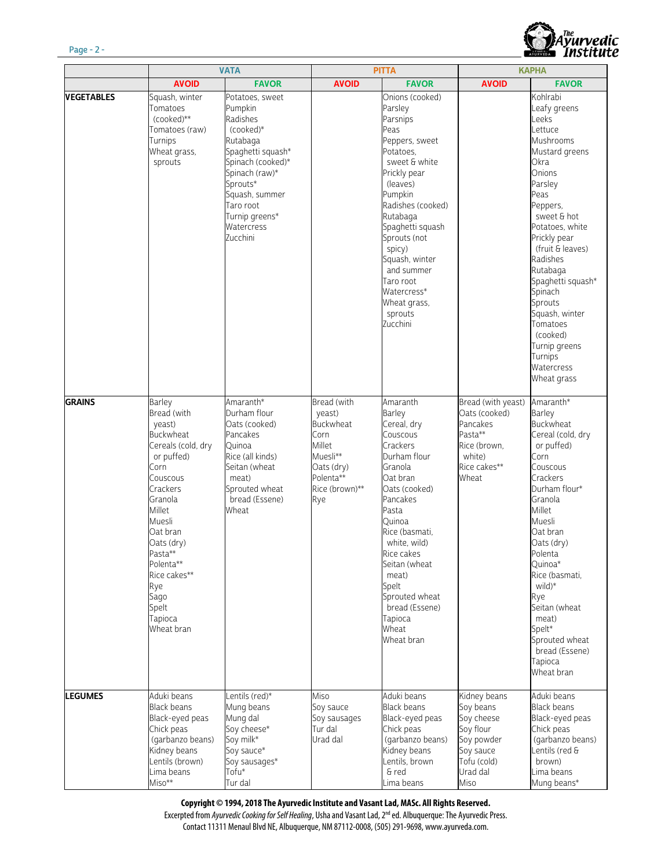

|                   | <b>VATA</b>                                                                                                                                                                                                                                                               |                                                                                                                                                                                                                      | <b>PITTA</b>                                                                                                         |                                                                                                                                                                                                                                                                                                                         | <b>KAPHA</b>                                                                                                       |                                                                                                                                                                                                                                                                                                                                                                          |
|-------------------|---------------------------------------------------------------------------------------------------------------------------------------------------------------------------------------------------------------------------------------------------------------------------|----------------------------------------------------------------------------------------------------------------------------------------------------------------------------------------------------------------------|----------------------------------------------------------------------------------------------------------------------|-------------------------------------------------------------------------------------------------------------------------------------------------------------------------------------------------------------------------------------------------------------------------------------------------------------------------|--------------------------------------------------------------------------------------------------------------------|--------------------------------------------------------------------------------------------------------------------------------------------------------------------------------------------------------------------------------------------------------------------------------------------------------------------------------------------------------------------------|
|                   | <b>AVOID</b>                                                                                                                                                                                                                                                              | <b>FAVOR</b>                                                                                                                                                                                                         | <b>AVOID</b>                                                                                                         | <b>FAVOR</b>                                                                                                                                                                                                                                                                                                            | <b>AVOID</b>                                                                                                       | <b>FAVOR</b>                                                                                                                                                                                                                                                                                                                                                             |
| <b>VEGETABLES</b> | Squash, winter<br>Tomatoes<br>(cooked)**<br>Tomatoes (raw)<br>Turnips<br>Wheat grass,<br>sprouts                                                                                                                                                                          | Potatoes, sweet<br>Pumpkin<br>Radishes<br>$(cooked)*$<br>Rutabaga<br>Spaghetti squash*<br>Spinach (cooked)*<br>Spinach (raw)*<br>Sprouts*<br>Squash, summer<br>Taro root<br>Turnip greens*<br>Watercress<br>Zucchini |                                                                                                                      | Onions (cooked)<br>Parsley<br>Parsnips<br>Peas<br>Peppers, sweet<br>Potatoes.<br>sweet & white<br>Prickly pear<br>(leaves)<br>Pumpkin<br>Radishes (cooked)<br>Rutabaga<br>Spaghetti squash<br>Sprouts (not<br>spicy)<br>Squash, winter<br>and summer<br>Taro root<br>Watercress*<br>Wheat grass,<br>sprouts<br>Zucchini |                                                                                                                    | Kohlrabi<br>Leafy greens<br>Leeks<br>Lettuce<br>Mushrooms<br>Mustard greens<br>Okra<br>Onions<br>Parsley<br>Peas<br>Peppers,<br>sweet & hot<br>Potatoes, white<br>Prickly pear<br>(fruit & leaves)<br>Radishes<br>Rutabaga<br>Spaghetti squash*<br>Spinach<br>Sprouts<br>Squash, winter<br>Tomatoes<br>(cooked)<br>Turnip greens<br>Turnips<br>Watercress<br>Wheat grass |
| <b>GRAINS</b>     | Barley<br>Bread (with<br>yeast)<br><b>Buckwheat</b><br>Cereals (cold, dry<br>or puffed)<br>Corn<br>Couscous<br>Crackers<br>Granola<br>Millet<br>Muesli<br>Oat bran<br>Oats (dry)<br>Pasta**<br>Polenta**<br>Rice cakes**<br>Rye<br>Sago<br>Spelt<br>Tapioca<br>Wheat bran | Amaranth*<br>Durham flour<br>Oats (cooked)<br>Pancakes<br>Quinoa<br>Rice (all kinds)<br>Seitan (wheat<br>meat)<br>Sprouted wheat<br>bread (Essene)<br>Wheat                                                          | Bread (with<br>yeast)<br>Buckwheat<br>Corn<br>Millet<br>Muesli**<br>Oats (dry)<br>Polenta**<br>Rice (brown)**<br>Rye | Amaranth<br>Barley<br>Cereal, dry<br>Couscous<br>Crackers<br>Durham flour<br>Granola<br>Oat bran<br>Oats (cooked)<br>Pancakes<br>Pasta<br>Quinoa<br>Rice (basmati,<br>white, wild)<br>Rice cakes<br>Seitan (wheat<br>meat)<br>Spelt<br>Sprouted wheat<br>bread (Essene)<br>Tapioca<br>Wheat<br>Wheat bran               | Bread (with yeast)<br>Oats (cooked)<br>Pancakes<br>Pasta**<br>Rice (brown,<br>white)<br>Rice cakes**<br>Wheat      | Amaranth*<br>Barley<br>Buckwheat<br>Cereal (cold, dry<br>or puffed)<br>Corn<br>Couscous<br>Crackers<br>Durham flour*<br>Granola<br>Millet<br>Muesli<br>Oat bran<br>Oats (dry)<br>Polenta<br>Quinoa*<br>Rice (basmati,<br>wild)*<br>Rye<br>Seitan (wheat<br>meat)<br>Spelt*<br>Sprouted wheat<br>bread (Essene)<br>Tapioca<br>Wheat bran                                  |
| <b>LEGUMES</b>    | Aduki beans<br><b>Black beans</b><br>Black-eyed peas<br>Chick peas<br>(garbanzo beans)<br>Kidney beans<br>Lentils (brown)<br>Lima beans<br>Miso**                                                                                                                         | Lentils (red)*<br>Mung beans<br>Mung dal<br>Soy cheese*<br>Soy milk*<br>Soy sauce*<br>Soy sausages*<br>Tofu*<br>Tur dal                                                                                              | Miso<br>Soy sauce<br>Soy sausages<br>Tur dal<br>Urad dal                                                             | Aduki beans<br><b>Black beans</b><br>Black-eyed peas<br>Chick peas<br>(garbanzo beans)<br>Kidney beans<br>Lentils, brown<br>& red<br>Lima beans                                                                                                                                                                         | Kidney beans<br>Soy beans<br>Soy cheese<br>Soy flour<br>Soy powder<br>Soy sauce<br>Tofu (cold)<br>Urad dal<br>Miso | Aduki beans<br><b>Black beans</b><br>Black-eyed peas<br>Chick peas<br>(garbanzo beans)<br>Lentils (red &<br>brown)<br>Lima beans<br>Mung beans*                                                                                                                                                                                                                          |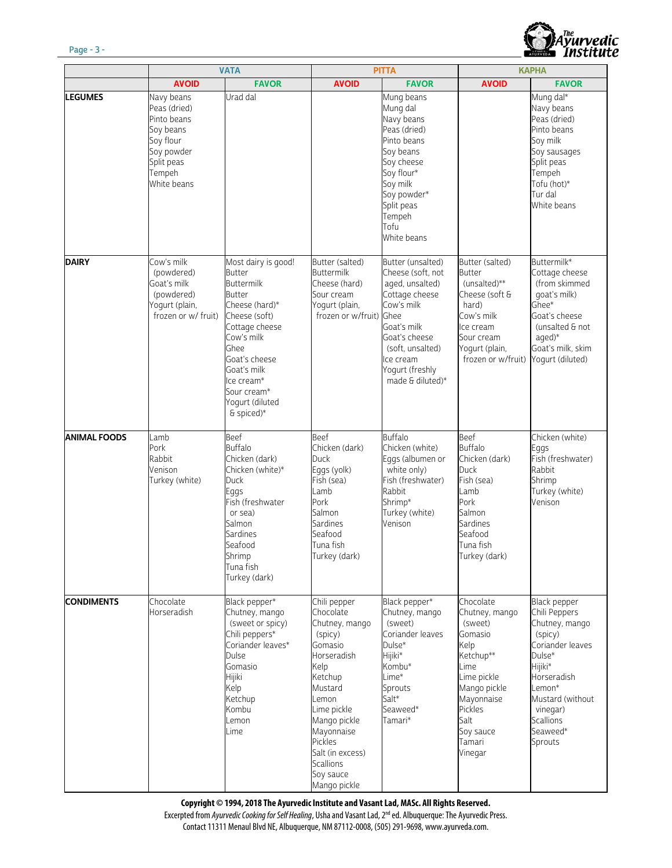

|                     | <b>VATA</b>                                                                                                              |                                                                                                                                                                                                                                                     | <b>PITTA</b>                                                                                                                                                                                                                                  |                                                                                                                                                                                                           | <b>KAPHA</b>                                                                                                                                                                     |                                                                                                                                                                                                         |
|---------------------|--------------------------------------------------------------------------------------------------------------------------|-----------------------------------------------------------------------------------------------------------------------------------------------------------------------------------------------------------------------------------------------------|-----------------------------------------------------------------------------------------------------------------------------------------------------------------------------------------------------------------------------------------------|-----------------------------------------------------------------------------------------------------------------------------------------------------------------------------------------------------------|----------------------------------------------------------------------------------------------------------------------------------------------------------------------------------|---------------------------------------------------------------------------------------------------------------------------------------------------------------------------------------------------------|
|                     | <b>AVOID</b>                                                                                                             | <b>FAVOR</b>                                                                                                                                                                                                                                        | <b>AVOID</b>                                                                                                                                                                                                                                  | <b>FAVOR</b>                                                                                                                                                                                              | <b>AVOID</b>                                                                                                                                                                     | <b>FAVOR</b>                                                                                                                                                                                            |
| <b>LEGUMES</b>      | Navy beans<br>Peas (dried)<br>Pinto beans<br>Soy beans<br>Soy flour<br>Soy powder<br>Split peas<br>Tempeh<br>White beans | Urad dal                                                                                                                                                                                                                                            |                                                                                                                                                                                                                                               | Mung beans<br>Mung dal<br>Navy beans<br>Peas (dried)<br>Pinto beans<br>Soy beans<br>Soy cheese<br>Soy flour*<br>Soy milk<br>Soy powder*<br>Split peas<br>Tempeh<br>Tofu<br>White beans                    |                                                                                                                                                                                  | Mung dal*<br>Navy beans<br>Peas (dried)<br>Pinto beans<br>Soy milk<br>Soy sausages<br>Split peas<br>Tempeh<br>Tofu (hot)*<br>Tur dal<br>White beans                                                     |
| <b>DAIRY</b>        | Cow's milk<br>(powdered)<br>Goat's milk<br>(powdered)<br>Yogurt (plain,<br>frozen or w/ fruit)                           | Most dairy is good!<br><b>Butter</b><br><b>Buttermilk</b><br><b>Butter</b><br>Cheese (hard)*<br>Cheese (soft)<br>Cottage cheese<br>Cow's milk<br>Ghee<br>Goat's cheese<br>Goat's milk<br>Ice cream*<br>Sour cream*<br>Yogurt (diluted<br>& spiced)* | Butter (salted)<br><b>Buttermilk</b><br>Cheese (hard)<br>Sour cream<br>Yogurt (plain,<br>frozen or w/fruit)                                                                                                                                   | Butter (unsalted)<br>Cheese (soft, not<br>aged, unsalted)<br>Cottage cheese<br>Cow's milk<br>Ghee<br>Goat's milk<br>Goat's cheese<br>(soft, unsalted)<br>lce cream<br>Yogurt (freshly<br>made & diluted)* | Butter (salted)<br><b>Butter</b><br>(unsalted)**<br>Cheese (soft &<br>hard)<br>Cow's milk<br>Ice cream<br>Sour cream<br>Yogurt (plain,<br>frozen or w/fruit)                     | Buttermilk*<br>Cottage cheese<br>(from skimmed)<br>qoat's milk)<br>Ghee*<br>Goat's cheese<br>(unsalted & not<br>aged)*<br>Goat's milk, skim<br>Yogurt (diluted)                                         |
| <b>ANIMAL FOODS</b> | Lamb<br>Pork<br>Rabbit<br>Venison<br>Turkey (white)                                                                      | Beef<br><b>Buffalo</b><br>Chicken (dark)<br>Chicken (white)*<br>Duck<br>Eggs<br>Fish (freshwater<br>or sea)<br>Salmon<br>Sardines<br>Seafood<br>Shrimp<br>Tuna fish<br>Turkey (dark)                                                                | Beef<br>Chicken (dark)<br><b>Duck</b><br>Eggs (yolk)<br>Fish (sea)<br>Lamb<br>Pork<br>Salmon<br>Sardines<br>Seafood<br>Tuna fish<br>Turkey (dark)                                                                                             | <b>Buffalo</b><br>Chicken (white)<br>Eggs (albumen or<br>white only)<br>Fish (freshwater)<br>Rabbit<br>Shrimp*<br>Turkey (white)<br>Venison                                                               | Beef<br><b>Buffalo</b><br>Chicken (dark)<br><b>Duck</b><br>Fish (sea)<br>Lamb<br>Pork<br>Salmon<br><b>Sardines</b><br>Seafood<br>Tuna fish<br>Turkey (dark)                      | Chicken (white)<br>Eggs<br>Fish (freshwater)<br>Rabbit<br>Shrimp<br>Turkey (white)<br>Venison                                                                                                           |
| <b>CONDIMENTS</b>   | Chocolate<br>Horseradish                                                                                                 | Black pepper*<br>Chutney, mango<br>(sweet or spicy)<br>Chili peppers*<br>Coriander leaves*<br>Dulse<br>Gomasio<br>Hijiki<br>Kelp<br>Ketchup<br>Kombu<br>Lemon<br>Lime                                                                               | Chili pepper<br>Chocolate<br>Chutney, mango<br>(spicy)<br>Gomasio<br>Horseradish<br>Kelp<br>Ketchup<br>Mustard<br>Lemon<br>Lime pickle<br>Mango pickle<br>Mayonnaise<br>Pickles<br>Salt (in excess)<br>Scallions<br>Soy sauce<br>Mango pickle | Black pepper*<br>Chutney, mango<br>(sweet)<br>Coriander leaves<br>Dulse*<br>Hijiki*<br>Kombu*<br>Lime*<br>Sprouts<br>Salt*<br>Seaweed*<br>Tamari*                                                         | Chocolate<br>Chutney, mango<br>(sweet)<br>Gomasio<br>Kelp<br>Ketchup**<br>Lime<br>Lime pickle<br>Mango pickle<br>Mayonnaise<br>Pickles<br>Salt<br>Soy sauce<br>Tamari<br>Vinegar | Black pepper<br>Chili Peppers<br>Chutney, mango<br>(spicy)<br>Coriander leaves<br>Dulse*<br>Hijiki*<br>Horseradish<br>Lemon*<br>Mustard (without<br>vinegar)<br><b>Scallions</b><br>Seaweed*<br>Sprouts |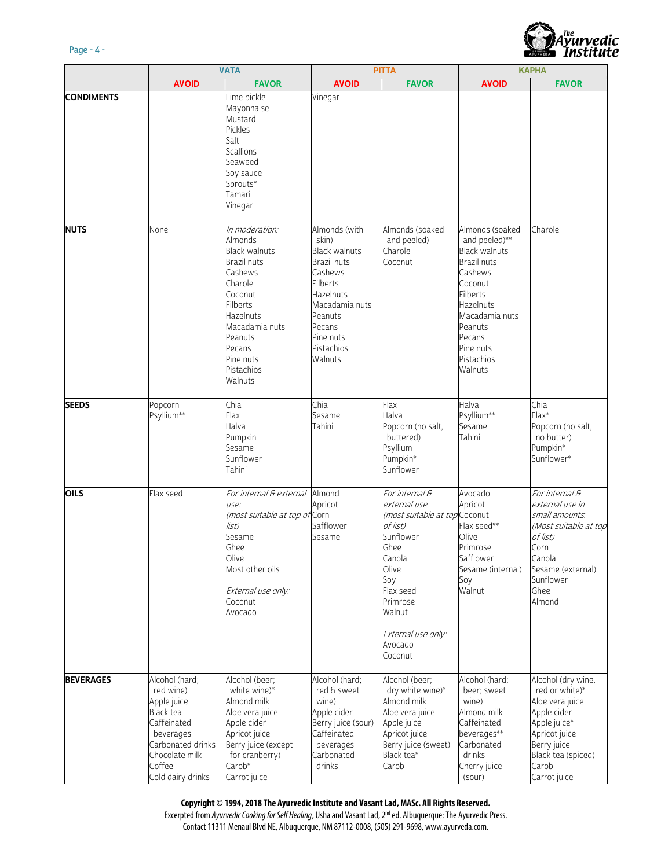

|                   | <b>VATA</b>                                                                                                                                                      |                                                                                                                                                                                                                       | <b>PITTA</b>                                                                                                                                                                                 |                                                                                                                                                                                                            | <b>KAPHA</b>                                                                                                                                                                                                      |                                                                                                                                                                       |
|-------------------|------------------------------------------------------------------------------------------------------------------------------------------------------------------|-----------------------------------------------------------------------------------------------------------------------------------------------------------------------------------------------------------------------|----------------------------------------------------------------------------------------------------------------------------------------------------------------------------------------------|------------------------------------------------------------------------------------------------------------------------------------------------------------------------------------------------------------|-------------------------------------------------------------------------------------------------------------------------------------------------------------------------------------------------------------------|-----------------------------------------------------------------------------------------------------------------------------------------------------------------------|
|                   | <b>AVOID</b>                                                                                                                                                     | <b>FAVOR</b>                                                                                                                                                                                                          | <b>AVOID</b>                                                                                                                                                                                 | <b>FAVOR</b>                                                                                                                                                                                               | <b>AVOID</b>                                                                                                                                                                                                      | <b>FAVOR</b>                                                                                                                                                          |
| <b>CONDIMENTS</b> |                                                                                                                                                                  | Lime pickle<br>Mayonnaise<br>Mustard<br>Pickles<br>Salt<br><b>Scallions</b><br>Seaweed<br>Soy sauce<br>Sprouts*<br>Tamari<br>Vinegar                                                                                  | Vinegar                                                                                                                                                                                      |                                                                                                                                                                                                            |                                                                                                                                                                                                                   |                                                                                                                                                                       |
| <b>NUTS</b>       | None                                                                                                                                                             | In moderation:<br>Almonds<br><b>Black walnuts</b><br><b>Brazil nuts</b><br>Cashews<br>Charole<br>Coconut<br>Filberts<br><b>Hazelnuts</b><br>Macadamia nuts<br>Peanuts<br>Pecans<br>Pine nuts<br>Pistachios<br>Walnuts | Almonds (with<br>skin)<br><b>Black walnuts</b><br>Brazil nuts<br>Cashews<br><b>Filberts</b><br><b>Hazelnuts</b><br>Macadamia nuts<br>Peanuts<br>Pecans<br>Pine nuts<br>Pistachios<br>Walnuts | Almonds (soaked<br>and peeled)<br>Charole<br>Coconut                                                                                                                                                       | Almonds (soaked<br>and peeled)**<br><b>Black walnuts</b><br>Brazil nuts<br>Cashews<br>Coconut<br><b>Filberts</b><br><b>Hazelnuts</b><br>Macadamia nuts<br>Peanuts<br>Pecans<br>Pine nuts<br>Pistachios<br>Walnuts | Charole                                                                                                                                                               |
| <b>SEEDS</b>      | Popcorn<br>Psyllium**                                                                                                                                            | Chia<br>Flax<br>Halva<br>Pumpkin<br>Sesame<br>Sunflower<br>Tahini                                                                                                                                                     | Chia<br>Sesame<br>Tahini                                                                                                                                                                     | Flax<br>Halva<br>Popcorn (no salt,<br>buttered)<br>Psyllium<br>Pumpkin*<br>Sunflower                                                                                                                       | Halva<br>Psyllium**<br>Sesame<br>Tahini                                                                                                                                                                           | Chia<br>$Flax*$<br>Popcorn (no salt,<br>no butter)<br>Pumpkin*<br>Sunflower*                                                                                          |
| OILS              | Flax seed                                                                                                                                                        | For internal & external Almond<br>use:<br>(most suitable at top of Corn<br>list)<br>Sesame<br>Ghee<br>Olive<br>Most other oils<br>External use only:<br>Coconut<br>Avocado                                            | Apricot<br>Safflower<br>Sesame                                                                                                                                                               | For internal &<br>external use:<br>(most suitable at top Coconut<br>of list)<br>Sunflower<br>Ghee<br>Canola<br>Olive<br>Soy<br>Flax seed<br>Primrose<br>Walnut<br>External use only:<br>Avocado<br>Coconut | Avocado<br>Apricot<br>Flax seed**<br>Olive<br>Primrose<br>Safflower<br>Sesame (internal)<br>Soy<br>Walnut                                                                                                         | For internal &<br>external use in<br>small amounts:<br>(Most suitable at top<br>of list)<br>Corn<br>Canola<br>Sesame (external)<br>Sunflower<br>Ghee<br>Almond        |
| <b>BEVERAGES</b>  | Alcohol (hard:<br>red wine)<br>Apple juice<br><b>Black</b> tea<br>Caffeinated<br>beverages<br>Carbonated drinks<br>Chocolate milk<br>Coffee<br>Cold dairy drinks | Alcohol (beer:<br>white wine)*<br>Almond milk<br>Aloe vera juice<br>Apple cider<br>Apricot juice<br>Berry juice (except<br>for cranberry)<br>Carob <sup>*</sup><br>Carrot juice                                       | Alcohol (hard:<br>red & sweet<br>wine)<br>Apple cider<br>Berry juice (sour)<br>Caffeinated<br>beverages<br>Carbonated<br>drinks                                                              | Alcohol (beer;<br>dry white wine)*<br>Almond milk<br>Aloe vera juice<br>Apple juice<br>Apricot juice<br>Berry juice (sweet)<br>Black tea*<br>Carob                                                         | Alcohol (hard;<br>beer; sweet<br>wine)<br>Almond milk<br>Caffeinated<br>beverages**<br>Carbonated<br>drinks<br>Cherry juice<br>(sour)                                                                             | Alcohol (dry wine,<br>red or white)*<br>Aloe vera juice<br>Apple cider<br>Apple juice*<br>Apricot juice<br>Berry juice<br>Black tea (spiced)<br>Carob<br>Carrot juice |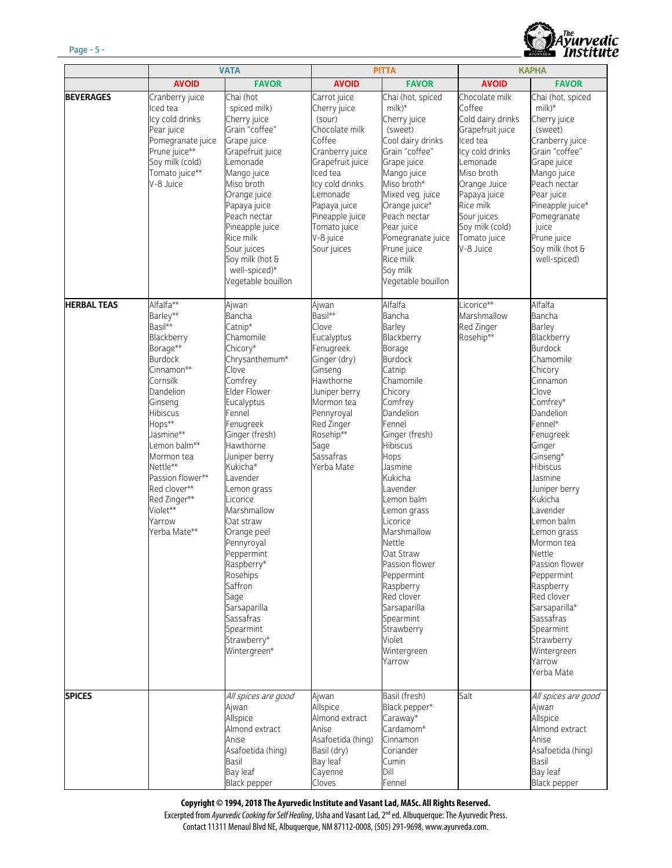

|                    | <b>VATA</b>                                                                                                                                                                                                                                                                                                  |                                                                                                                                                                                                                                                                                                                                                                                                                                                | <b>PITTA</b>                                                                                                                                                                                                                        |                                                                                                                                                                                                                                                                                                                                                                                                                                    | <b>KAPHA</b>                                                                                                                                                                                                                           |                                                                                                                                                                                                                                                                                                                                                                                                                                                                |
|--------------------|--------------------------------------------------------------------------------------------------------------------------------------------------------------------------------------------------------------------------------------------------------------------------------------------------------------|------------------------------------------------------------------------------------------------------------------------------------------------------------------------------------------------------------------------------------------------------------------------------------------------------------------------------------------------------------------------------------------------------------------------------------------------|-------------------------------------------------------------------------------------------------------------------------------------------------------------------------------------------------------------------------------------|------------------------------------------------------------------------------------------------------------------------------------------------------------------------------------------------------------------------------------------------------------------------------------------------------------------------------------------------------------------------------------------------------------------------------------|----------------------------------------------------------------------------------------------------------------------------------------------------------------------------------------------------------------------------------------|----------------------------------------------------------------------------------------------------------------------------------------------------------------------------------------------------------------------------------------------------------------------------------------------------------------------------------------------------------------------------------------------------------------------------------------------------------------|
|                    | <b>AVOID</b>                                                                                                                                                                                                                                                                                                 | <b>FAVOR</b>                                                                                                                                                                                                                                                                                                                                                                                                                                   | <b>AVOID</b>                                                                                                                                                                                                                        | <b>FAVOR</b>                                                                                                                                                                                                                                                                                                                                                                                                                       | <b>AVOID</b>                                                                                                                                                                                                                           | <b>FAVOR</b>                                                                                                                                                                                                                                                                                                                                                                                                                                                   |
| <b>BEVERAGES</b>   | Cranberry juice<br>Iced tea<br>Icy cold drinks<br>Pear juice<br>Pomegranate juice<br>Prune juice**<br>Soy milk (cold)<br>Tomato juice**<br>V-8 Juice                                                                                                                                                         | Chai (hot<br>spiced milk)<br>Cherry juice<br>Grain "coffee"<br>Grape juice<br>Grapefruit juice<br>Lemonade<br>Mango juice<br>Miso broth<br>Orange juice<br>Papaya juice<br>Peach nectar<br>Pineapple juice<br>Rice milk<br>Sour juices<br>Soy milk (hot &<br>well-spiced)*<br>Vegetable bouillon                                                                                                                                               | Carrot juice<br>Cherry juice<br>(sour)<br>Chocolate milk<br>Coffee<br>Cranberry juice<br>Grapefruit juice<br>Iced tea<br>Icy cold drinks<br>Lemonade<br>Papaya juice<br>Pineapple juice<br>Tomato juice<br>V-8 juice<br>Sour juices | Chai (hot, spiced<br>$milk)*$<br>Cherry juice<br>(sweet)<br>Cool dairy drinks<br>Grain "coffee"<br>Grape juice<br>Mango juice<br>Miso broth*<br>Mixed veg. juice<br>Orange juice*<br>Peach nectar<br>Pear juice<br>Pomegranate juice<br>Prune juice<br>Rice milk<br>Soy milk<br>Vegetable bouillon                                                                                                                                 | Chocolate milk<br>Coffee<br>Cold dairy drinks<br>Grapefruit juice<br>Iced tea<br>Icy cold drinks<br>Lemonade<br>Miso broth<br>Orange Juice<br>Papaya juice<br>Rice milk<br>Sour juices<br>Soy milk (cold)<br>Tomato juice<br>V-8 Juice | Chai (hot, spiced<br>$m$ ilk)*<br>Cherry juice<br>(sweet)<br>Cranberry juice<br>Grain "coffee"<br>Grape juice<br>Mango juice<br>Peach nectar<br>Pear juice<br>Pineapple juice*<br>Pomegranate<br>juice<br>Prune juice<br>Soy milk (hot &<br>well-spiced)                                                                                                                                                                                                       |
| <b>HERBAL TEAS</b> | Alfalfa**<br>Barley**<br>Basil**<br>Blackberry<br>Borage**<br><b>Burdock</b><br>Cinnamon**<br>Cornsilk<br>Dandelion<br>Ginseng<br><b>Hibiscus</b><br>Hops**<br>Jasmine**<br>Lemon balm**<br>Mormon tea<br>Nettle**<br>Passion flower**<br>Red clover**<br>Red Zinger**<br>Violet**<br>Yarrow<br>Yerba Mate** | Ajwan<br>Bancha<br>Catnip*<br>Chamomile<br>Chicory*<br>Chrysanthemum*<br>Clove<br>Comfrey<br>Elder Flower<br>Eucalyptus<br>Fennel<br>Fenugreek<br>Ginger (fresh)<br>Hawthorne<br>Juniper berry<br>Kukicha*<br>Lavender<br>Lemon grass<br>_icorice<br>Marshmallow<br>Oat straw<br>Orange peel<br>Pennyroyal<br>Peppermint<br>Raspberry*<br>Rosehips<br>Saffron<br>Sage<br>Sarsaparilla<br>Sassafras<br>Spearmint<br>Strawberry*<br>Wintergreen* | Ajwan<br>Basil**<br>Clove<br>Eucalyptus<br>Fenugreek<br>Ginger (dry)<br>Ginseng<br>Hawthorne<br>Juniper berry<br>Mormon tea<br>Pennyroyal<br>Red Zinger<br>Rosehip**<br>Sage<br>Sassafras<br>Yerba Mate                             | Alfalfa<br>Bancha<br>Barley<br>Blackberry<br>Borage<br>Burdock<br>Catnip<br>Chamomile<br>Chicory<br>Comfrey<br>Dandelion<br>Fennel<br>Ginger (fresh)<br>Hibiscus<br>Hops<br>Jasmine<br>Kukicha<br>Lavender<br>Lemon balm<br>Lemon grass<br>Licorice<br>Marshmallow<br>Nettle<br>Oat Straw<br>Passion flower<br>Peppermint<br>Raspberry<br>Red clover<br>Sarsaparilla<br>Spearmint<br>Strawberry<br>Violet<br>Wintergreen<br>Yarrow | Licorice**<br>Marshmallow<br>Red Zinger<br>Rosehip**                                                                                                                                                                                   | Alfalfa<br>Bancha<br>Barley<br>Blackberry<br><b>Burdock</b><br>Chamomile<br>Chicory<br>Cinnamon<br>Clove<br>Comfrey*<br>Dandelion<br>Fennel*<br>Fenugreek<br>Ginger<br>Ginseng*<br>Hibiscus<br>Jasmine<br>Juniper berry<br>Kukicha<br>Lavender<br>Lemon balm<br>Lemon grass<br>Mormon tea<br>Nettle<br>Passion flower<br>Peppermint<br>Raspberry<br>Red clover<br>Sarsaparilla*<br>Sassafras<br>Spearmint<br>Strawberry<br>Wintergreen<br>Yarrow<br>Yerba Mate |
| <b>SPICES</b>      |                                                                                                                                                                                                                                                                                                              | All spices are good<br>Ajwan<br>Allspice<br>Almond extract<br>Anise<br>Asafoetida (hing)<br>Basil<br>Bay leaf<br>Black pepper                                                                                                                                                                                                                                                                                                                  | Ajwan<br>Allspice<br>Almond extract<br>Anise<br>Asafoetida (hing)<br>Basil (dry)<br>Bay leaf<br>Cayenne<br>Cloves                                                                                                                   | Basil (fresh)<br>Black pepper*<br>Caraway*<br>Cardamom*<br>Cinnamon<br>Coriander<br>Cumin<br>Dill<br>Fennel                                                                                                                                                                                                                                                                                                                        | Salt                                                                                                                                                                                                                                   | All spices are good<br>Ajwan<br>Allspice<br>Almond extract<br>Anise<br>Asafoetida (hing)<br>Basil<br>Bay leaf<br>Black pepper                                                                                                                                                                                                                                                                                                                                  |